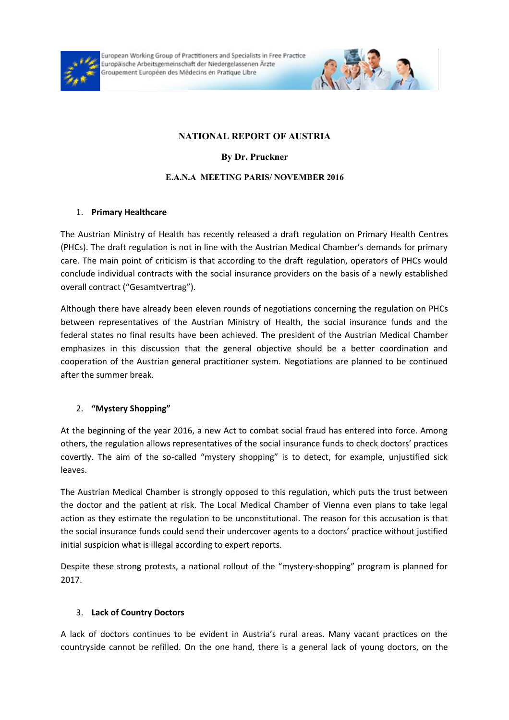

European Working Group of Practitioners and Specialists in Free Practice Europäische Arbeitsgemeinschaft der Niedergelassenen Ärzte Groupement Européen des Médecins en Pratique Libre



# **NATIONAL REPORT OF AUSTRIA**

**By Dr. Pruckner**

### **E.A.N.A MEETING PARIS/ NOVEMBER 2016**

## 1. **Primary Healthcare**

The Austrian Ministry of Health has recently released a draft regulation on Primary Health Centres (PHCs). The draft regulation is not in line with the Austrian Medical Chamber's demands for primary care. The main point of criticism is that according to the draft regulation, operators of PHCs would conclude individual contracts with the social insurance providers on the basis of a newly established overall contract ("Gesamtvertrag").

Although there have already been eleven rounds of negotiations concerning the regulation on PHCs between representatives of the Austrian Ministry of Health, the social insurance funds and the federal states no final results have been achieved. The president of the Austrian Medical Chamber emphasizes in this discussion that the general objective should be a better coordination and cooperation of the Austrian general practitioner system. Negotiations are planned to be continued after the summer break.

## 2. **"Mystery Shopping"**

At the beginning of the year 2016, a new Act to combat social fraud has entered into force. Among others, the regulation allows representatives of the social insurance funds to check doctors' practices covertly. The aim of the so-called "mystery shopping" is to detect, for example, unjustified sick leaves.

The Austrian Medical Chamber is strongly opposed to this regulation, which puts the trust between the doctor and the patient at risk. The Local Medical Chamber of Vienna even plans to take legal action as they estimate the regulation to be unconstitutional. The reason for this accusation is that the social insurance funds could send their undercover agents to a doctors' practice without justified initial suspicion what is illegal according to expert reports.

Despite these strong protests, a national rollout of the "mystery-shopping" program is planned for 2017.

## 3. **Lack of Country Doctors**

A lack of doctors continues to be evident in Austria's rural areas. Many vacant practices on the countryside cannot be refilled. On the one hand, there is a general lack of young doctors, on the